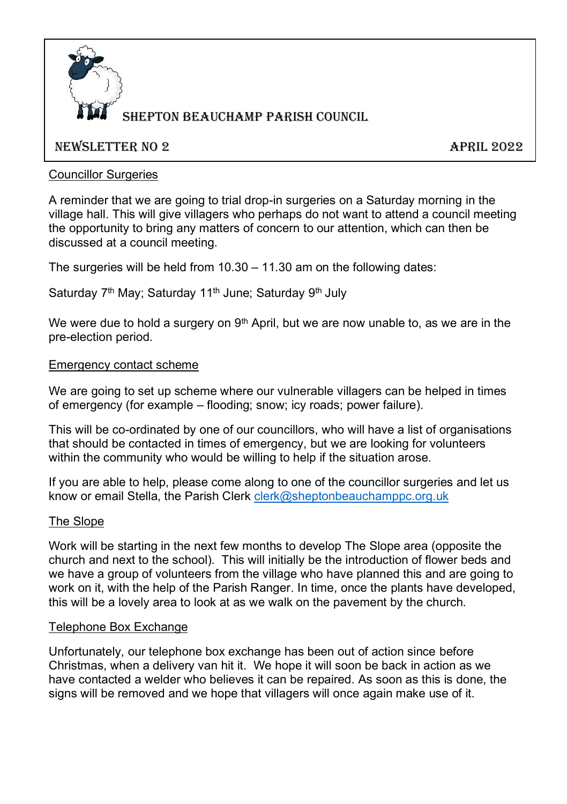

# **BEPTON BEAUCHAMP PARISH COUNCIL**

## NEWSLETTER NO 2 APRIL 2022

## Councillor Surgeries

A reminder that we are going to trial drop-in surgeries on a Saturday morning in the village hall. This will give villagers who perhaps do not want to attend a council meeting the opportunity to bring any matters of concern to our attention, which can then be discussed at a council meeting.

The surgeries will be held from  $10.30 - 11.30$  am on the following dates:

Saturday 7<sup>th</sup> May; Saturday 11<sup>th</sup> June; Saturday 9<sup>th</sup> July

We were due to hold a surgery on  $9<sup>th</sup>$  April, but we are now unable to, as we are in the pre-election period.

#### Emergency contact scheme

We are going to set up scheme where our vulnerable villagers can be helped in times of emergency (for example – flooding; snow; icy roads; power failure).

This will be co-ordinated by one of our councillors, who will have a list of organisations that should be contacted in times of emergency, but we are looking for volunteers within the community who would be willing to help if the situation arose.

If you are able to help, please come along to one of the councillor surgeries and let us know or email Stella, the Parish Clerk [clerk@sheptonbeauchamppc.org.uk](mailto:clerk@sheptonbeauchamppc.org.uk)

#### The Slope

Work will be starting in the next few months to develop The Slope area (opposite the church and next to the school). This will initially be the introduction of flower beds and we have a group of volunteers from the village who have planned this and are going to work on it, with the help of the Parish Ranger. In time, once the plants have developed, this will be a lovely area to look at as we walk on the pavement by the church.

#### Telephone Box Exchange

Unfortunately, our telephone box exchange has been out of action since before Christmas, when a delivery van hit it. We hope it will soon be back in action as we have contacted a welder who believes it can be repaired. As soon as this is done, the signs will be removed and we hope that villagers will once again make use of it.